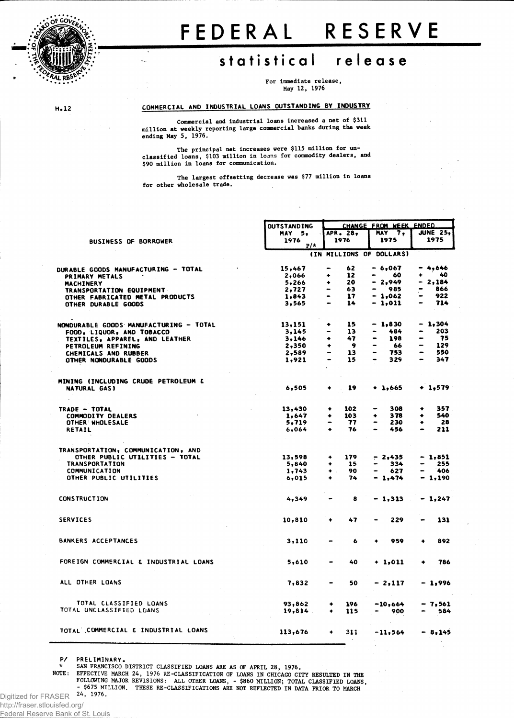

# FEDERA L RESERV E

## statistical release

**For immediate release, May 12, 1976**

H.12

## COMMERCIAL AND INDUSTRIAL LOANS OUTSTANDING BY INDUSTRY

**Commercial and industrial loans increased a net of \$311 million at weekly reporting large commercial banks during the week ending May 5, 1976.**

**The principal net increases were \$115 million for unclassified loans, \$103 million in loans for commodity dealers, and \$90 million in loans for communication.**

**The largest offsetting decrease was \$77 million in loans for other wholesale trade.**

|                                        | OUTSTANDING   |                              |          |                          | CHANGE FROM WEEK ENDED   |                              |                 |
|----------------------------------------|---------------|------------------------------|----------|--------------------------|--------------------------|------------------------------|-----------------|
|                                        | <b>MAY 5.</b> |                              | APR. 28. |                          | MAY 7,                   |                              | <b>JUNE 25,</b> |
| <b>BUSINESS OF BORROWER</b>            | 1976<br>$P/*$ |                              | 1976     |                          | 1975                     |                              | 1975            |
|                                        |               |                              |          |                          | (IN MILLIONS OF DOLLARS) |                              |                 |
|                                        |               |                              |          |                          |                          |                              |                 |
| DURABLE GOODS MANUFACTURING - TOTAL    | 15,467        | -                            | 62       |                          | - 6,067                  |                              | 4.646           |
| PRIMARY METALS                         | 2,066         | ۰                            | 12       |                          | 60                       | ٠                            | 40              |
| MACHINERY                              | 5,266         | ۰                            | 20       |                          | $-2,949$                 |                              | 2,184           |
| <b>TRANSPORTATION EQUIPMENT</b>        | 2,727         | -                            | 63       |                          | 985                      |                              | 866             |
| OTHER FABRICATED METAL PRODUCTS        | 1,843         |                              | 17       |                          | $-1,062$                 |                              | 922             |
| OTHER DURABLE GOODS                    | 3,565         |                              | 14       |                          | - 1,011                  | $\qquad \qquad \blacksquare$ | 714             |
| NONDURABLE GOODS MANUFACTURING - TOTAL | 13,151        | ٠                            | 15       |                          | $-1,830$                 |                              | $-1,304$        |
| FOOD, LIQUOR, AND TOBACCO              | 3,145         |                              | 13       |                          | 484                      |                              | 203             |
| TEXTILES, APPAREL, AND LEATHER         | 3,146         | ۰                            | 47       |                          | 198                      |                              | 75              |
| PETROLEUM REFINING                     | 2,350         | ٠                            | - 9      |                          | 66                       |                              | 129             |
| <b>CHEMICALS AND RUBBER</b>            | 2,589         | -                            | 13       | -                        | 753                      |                              | 550             |
| OTHER NONDURABLE GOODS                 | 1,921         |                              | 15       |                          | 329                      |                              | 347             |
| MINING (INCLUDING CRUDE PETROLEUM &    |               |                              |          |                          |                          |                              |                 |
| NATURAL GAS)                           | 6,505         |                              | 19       |                          | $+ 1.665$                |                              | $+ 1,579$       |
|                                        |               |                              |          |                          |                          |                              |                 |
| TRADE - TOTAL                          | 13,430        | ۰                            | 102      | -                        | 308                      | ٠                            | 357             |
| <b>COMMODITY DEALERS</b>               | 1,647         | ۰                            | 103      | ٠                        | 378                      | ۰                            | 540             |
| OTHER WHOLESALE                        | 5,719         |                              | 77       | $\rightarrow$            | 230                      | ٠                            | 28              |
| <b>RETAIL</b>                          | 6,064         | ٠                            | 76       |                          | 456                      |                              | 211             |
| TRANSPORTATION, COMMUNICATION, AND     |               |                              |          |                          |                          |                              |                 |
| OTHER PUBLIC UTILITIES - TOTAL         | 13,598        | ۰                            | 179      |                          | $-2,435$                 |                              | $-1,851$        |
| <b>TRANSPORTATION</b>                  | 5,840         | $\bullet$                    | 15       | $\overline{\phantom{0}}$ | 334                      |                              | 255             |
| COMMUNICATION                          | 1,743         | $\bullet$                    | 90       | -                        | 627                      |                              | 406             |
| OTHER PUBLIC UTILITIES                 | 6,015         | ٠                            | 74       |                          | $-1,474$                 |                              | - 1,190         |
| <b>CONSTRUCTION</b>                    | 4,349         |                              | 8        |                          | $-1,313$                 |                              | $-1,247$        |
|                                        |               |                              |          |                          |                          |                              |                 |
| <b>SERVICES</b>                        | 10,810        | ۰                            | 47       |                          | 229                      |                              | 131             |
| BANKERS ACCEPTANCES                    | 3,110         |                              | 6        |                          | 959                      |                              | 892             |
| FOREIGN COMMERCIAL & INDUSTRIAL LOANS  | 5,610         |                              | 40       |                          | $+ 1,011$                |                              | 786             |
|                                        |               |                              |          |                          |                          |                              |                 |
| ALL OTHER LOANS                        | 7,832         | $\qquad \qquad \blacksquare$ | 50       |                          | - 2,117                  |                              | - 1,996         |
| TOTAL CLASSIFIED LOANS                 | 93,862        | ۰                            | 196      |                          | $-10,664$                |                              | - 7,561         |
| TOTAL UNCLASSIFIED LOANS               | 19,814        | ٠                            | 115      |                          | 900                      |                              | 584             |
| TOTAL COMMERCIAL & INDUSTRIAL LOANS    | 113,676       | ۰                            | 311      |                          | $-11,564$                |                              | $-8,145$        |
|                                        |               |                              |          |                          |                          |                              |                 |

P/ PRELIMINARY.

**\* SAN FRANCISCO DISTRICT CLASSIFIED LOANS ARE AS OF APRIL 28, 1976.**

NOTE: EFFECTIVE MARCH 24, 1976 RE-CLASSIFICATION OF LOANS IN CHICAGO CITY RESULTED IN THE<br>FOLLOWING MAJOR REVISIONS: ALL OTHER LOANS, - \$860 MILLION; TOTAL CLASSIFIED LOANS,<br>S675 MILLION. THESE RE-CLASSIFICATIONS ARE NOT R

**24, 1976.** Digitized for FRASER

http://fraser.stlouisfed.org/

Federal Reserve Bank of St. Louis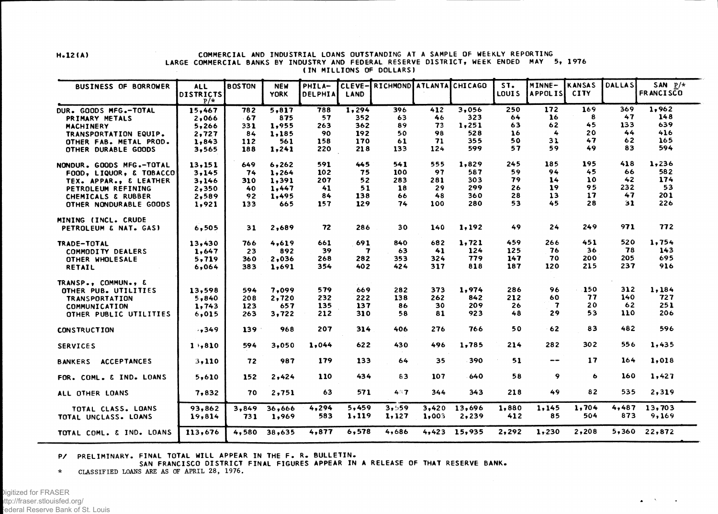## H.12(A) COMMERCIAL AND INDUSTRIAL LOANS OUTSTANDING AT A SAMPLE OF WEEKLY REPORTING LARGE COMMERCIAL BANKS BY INDUSTRY AND FEDERAL RESERVE DISTRICT, WEEK ENDED MAY 5, 1976 (IN MILLIONS OF DOLLARS)

| <b>BUSINESS OF BORROWER</b>                | <b>ALL</b>       | <b>BOSTON</b> | <b>NEW</b>      | PHILA-       | CLEVE-         | RICHMOND ATLANTA CHICAGO |                |                 | ST.          | MINNE-         | <b>KANSAS</b> | <b>DALLAS</b> | SAN $P/*$       |
|--------------------------------------------|------------------|---------------|-----------------|--------------|----------------|--------------------------|----------------|-----------------|--------------|----------------|---------------|---------------|-----------------|
|                                            | DISTRICTS        |               | <b>YORK</b>     | DELPHIA      | LAND           |                          |                |                 | LOUIS        | <b>APPOLIS</b> | <b>CITY</b>   |               | FR ANCISCO      |
|                                            | $P/*$            | 782           | 5,817           | 788          | 1,294          | 396                      | 412            | 3,056           | 250          | 172            | 169           | 369           | 1,962           |
| DUR. GOODS MFG.-TOTAL<br>PRIMARY METALS    | 15,467<br>2,066  | $-67$         | 875             | 57           | 352            | 63                       | 46             | 323             | 64           | 16             | 8             | 47            | 148             |
| MACHINERY                                  | 5,266            | 331           | 1,955           | 263          | 362            | 89                       | 73             | 1,251           | 63           | 62             | 45            | 133           | 639.            |
| TRANSPORTATION EQUIP.                      | 2,727            | 84            | 1,185           | 90           | 192            | 50                       | 98             | 528             | 16           | 4              | 20            | 44            | 416             |
| OTHER FAB. METAL PROD.                     | 1,843            | 112           | 561             | 158          | 170            | 61                       | 71             | 355             | 50           | 31             | 47            | 62            | 165             |
| OTHER DURABLE GOODS                        | 3,565            | 188           | 1,241           | 220          | 218            | 133                      | 124            | 599             | 57           | 59             | 49            | 83            | 594             |
|                                            |                  |               |                 |              |                |                          |                |                 |              |                |               |               |                 |
| NONDUR. GOODS MFG.-TOTAL                   | 13,151           | 649           | 6,262           | 591          | 445            | 541                      | 555            | 1,829           | 245          | 185            | 195           | 418           | 1,236           |
| FOOD, LIQUOR, & TOBACCO                    | 3,145            | 74            | 1,264           | 102          | 75             | 100                      | 97             | 587             | 59           | 94             | 45            | 66            | 582             |
| TEX. APPAR., & LEATHER                     | 3,146            | 310           | 1,391           | 207          | 52             | 283                      | 281            | 303             | 79           | 14             | 10            | 42            | 174             |
| PETROLEUM REFINING                         | 2,350            | 40            | 1,447           | 41           | 51             | 18                       | 29             | 299             | 26           | 19             | 95            | 232           | 53              |
| CHEMICALS & RUBBER                         | 2,589            | 92            | 1,495           | 84           | 138            | 66                       | 48             | 360             | 28           | 13             | 17            | 47            | 201             |
| OTHER NONDURABLE GOODS                     | 1,921            | 133           | 665             | 157          | 129            | 74                       | 100            | 280             | 53           | 45             | 28            | 31            | 226             |
| MINING (INCL. CRUDE                        |                  |               |                 |              |                |                          |                |                 |              |                |               |               |                 |
| PETROLEUM & NAT. GASI                      | 6,505            | 31            | 2,689           | 72           | 286            | 30                       | 140            | 1,192           | 49           | 24             | 249           | 971           | 772             |
| TRADE-TOTAL                                | 13,430           | 766           | 4,619           | 661          | 691            | 840                      | 682            | 1,721           | 459          | 266            | 451           | 520           | 1,754           |
| <b>COMMODITY DEALERS</b>                   | 1,647            | 23            | 892             | 39           | 7              | 63                       | 41             | 124             | 125          | 76             | 36            | 78            | 143             |
| OTHER WHOLESALE                            | 5,719            | 360           | 2,036           | 268          | 282            | 353                      | 324            | 779             | 147          | 70             | 200           | 205           | 695             |
| RETAIL                                     | 6,064            | 383           | 1,691           | 354          | 402            | 424                      | 317            | 818             | 187          | 120            | 215           | 237           | 916             |
| TRANSP., COMMUN., &                        |                  |               |                 |              |                |                          |                |                 |              |                |               |               |                 |
| OTHER PUB. UTILITIES                       | 13,598           | 594           | 7,099           | 579          | 669            | 282                      | 373            | 1,974           | 286          | 96             | 150           | 312           | 1,184           |
| TRANSPORTATION                             | 5,840            | 208           | 2,720           | 232          | 222            | 138                      | 262            | 842             | 212          | 60             | 77            | 140           | 727             |
| <b>COMMUNICATION</b>                       | 1,743            | 123           | 657             | 135          | 137            | 86                       | 30             | 209             | 26           | 7              | 20            | 62            | 251             |
| OTHER PUBLIC UTILITIES                     | 6,015            | 263           | 3,722           | 212          | 310            | 58                       | 81             | 923             | 48           | 29             | 53            | 110           | 206             |
| <b>CONSTRUCTION</b>                        | $-1349$          | 139           | 968             | 207          | 314            | 406                      | 276            | 766             | 50           | 62             | 83            | 482           | 596             |
|                                            |                  |               |                 |              |                |                          |                |                 |              |                |               |               |                 |
| <b>SERVICES</b>                            | 1,810            | 594           | 3.050           | 1,044        | 622            | 430                      | 496            | 1,785           | 214          | 282            | 302           | 556           | 1,435           |
| <b>ACCEPTANCES</b><br><b>BANKERS</b>       | 3,110            | 72            | 987             | 179          | 133            | 64                       | 35             | 390             | 51           | --             | 17            | 164           | 1,018           |
| FOR. COML. & IND. LOANS                    | 5,610            | 152           | 2,424           | 110          | 434            | 83                       | 107            | 640             | 58           | 9              | 6             | 160           | 1,427           |
| ALL OTHER LOANS                            | 7,832            | 70            | 2,751           | 63           | 571            | 487                      | 344            | 343             | 218          | 49             | 82            | 535           | 2,319           |
| TOTAL CLASS. LOANS<br>TOTAL UNCLASS. LOANS | 93,862<br>19,814 | 3,849<br>731  | 36,666<br>1,969 | 4,294<br>583 | 5,459<br>1,119 | 3,559<br>1,127           | 3,420<br>1,003 | 13,696<br>2,239 | 1,880<br>412 | 1,145<br>85    | 1,704<br>504  | 4,487<br>873  | 13,703<br>9,169 |
| TOTAL COML. & IND. LOANS                   | 113,676          | 4,580         | 38,635          | 4,877        | 6,578          | 4,686                    |                | $4,423$ 15,935  | 2,292        | 1,230          | 2,208         | 5,360         | 22,872          |

P/ PRELIMINARY. FINAL TOTAL WILL APPEAR IN THE F. R. BULLETIN.

SAN FRANCISCO DISTRICT FINAL FIGURES APPEAR IN A RELEASE OF THAT RESERVE BANK.

**\* CLASSIFIED LOANS ARE AS OF APRIL 28, 1976.**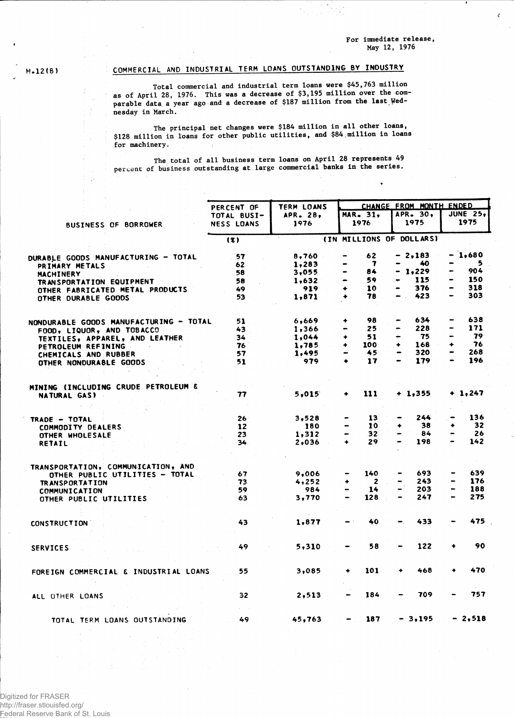**For immediate release, May 12, 1976**

 $\mathbf{A}$ 

 $H.12(B)$ 

## COMMERCIAL AND INDUSTRIAL TERM LOANS OUTSTANDING BY INDUSTRY

**Total commercial and industrial term loans were \$45,763 million as of April 28, 1976. This was a decrease of \$3,195 million over the comparable data a year ago and a decrease of \$187 million from the last Wednesday in March.**

**The principal net changes were \$184 million in all other loans, \$128 million in loans for other public utilities, and \$84.million in loans for machinery.**

**The total of all business term loans on April 28 represents 49 percent of business outstanding at large commercial banks in the series.**

|                                                | PERCENT OF        | <b>TERM LOANS</b> |               | CHANGE FROM MONTH ENDED |           |                                    |           |                 |  |  |  |
|------------------------------------------------|-------------------|-------------------|---------------|-------------------------|-----------|------------------------------------|-----------|-----------------|--|--|--|
|                                                | TOTAL BUSI-       | APR. 28,          |               | <b>MAR. 31.</b>         |           | APR. 30,                           |           | <b>JUNE 25,</b> |  |  |  |
| <b>BUSINESS OF BORROWER</b>                    | <b>NESS LOANS</b> | 1976              |               | 1976                    |           | 1975                               | 1975      |                 |  |  |  |
|                                                | (x)               |                   |               |                         |           | (IN MILLIONS OF DOLLARS)           |           |                 |  |  |  |
|                                                |                   |                   |               |                         |           |                                    |           |                 |  |  |  |
| DURABLE GOODS MANUFACTURING - TOTAL            | 57                | 8,760             |               | 62                      |           | $-2,183$                           |           | - 1,680         |  |  |  |
| PRIMARY METALS                                 | 62                | 1,283             |               | 7                       |           | 40                                 |           | 5               |  |  |  |
| MACHINERY                                      | 58                | 3,055             |               | 84                      |           | 1,229                              |           | 904             |  |  |  |
| TRANSPORTATION EQUIPMENT                       | 58                | 1,632             |               | 59                      |           | 115                                |           | 150             |  |  |  |
| OTHER FABRICATED METAL PRODUCTS                | 49                | 919               | ٠             | 10                      | $\bullet$ | 376                                | $\bullet$ | 318             |  |  |  |
| OTHER DURABLE GOODS                            | 53                | 1,871             |               | 78                      |           | 423<br>$\mathcal{L}_{\mathcal{L}}$ |           | 303             |  |  |  |
|                                                |                   |                   |               | 98                      |           | 634                                |           | 638             |  |  |  |
| NONDURABLE GOODS MANUFACTURING - TOTAL         | 51                | 6,669             |               | 25                      |           | 228                                | -         | 171             |  |  |  |
| FOOD, LIQUOR, AND TOBACCO                      | 43                | 1,366             |               |                         |           | -75                                |           | 79              |  |  |  |
| TEXTILES, APPAREL, AND LEATHER                 | 34                | 1,044             |               | 51                      |           |                                    |           | 76              |  |  |  |
| PETROLEUM REFINING                             | 76                | 1,785             | ۰             | 100                     | ۰         | 168                                | ۰<br>-    |                 |  |  |  |
| CHEMICALS AND RUBBER                           | 57                | 1,495             |               | 45                      |           | 320                                |           | 268             |  |  |  |
| OTHER NONDURABLE GOODS                         | 51                | 979               | ٠             | 17                      | -         | 179                                |           | 196             |  |  |  |
| <b>MINING (INCLUDING CRUDE PETROLEUM &amp;</b> |                   |                   |               |                         |           |                                    |           |                 |  |  |  |
| <b>NATURAL GAS)</b>                            | 77                | 5,015             |               | 111                     |           | $+1,355$                           |           | $+ 1,247$       |  |  |  |
|                                                |                   |                   |               |                         |           |                                    |           |                 |  |  |  |
|                                                | 26                | 3,528             |               | 13                      |           | 244                                |           | 136             |  |  |  |
| TRADE - TOTAL<br><b>COMMODITY DEALERS</b>      | 12                | 180               | $\rightarrow$ | 10                      | ۰         | 38                                 | ۰         | 32              |  |  |  |
|                                                | 23                | 1,312             |               | 32                      |           | 84                                 |           | 26              |  |  |  |
| OTHER WHOLESALE<br><b>RETAIL</b>               | 34                | 2,036             | ۰             | 29                      |           | 198                                |           | 142             |  |  |  |
|                                                |                   |                   |               |                         |           |                                    |           |                 |  |  |  |
| TRANSPORTATION, COMMUNICATION, AND             |                   |                   |               |                         |           |                                    |           |                 |  |  |  |
| OTHER PUBLIC UTILITIES - TOTAL                 | 67                | 9,006             |               | 140                     |           | 693                                |           | 639             |  |  |  |
| <b>TRANSPORTATION</b>                          | 73                | 4,252             | ٠             | 2                       |           | 243                                |           | 176             |  |  |  |
| <b>COMMUNICATION</b>                           | 59                | 984               | -             | 14                      |           | 203                                |           | 188             |  |  |  |
| OTHER PUBLIC UTILITIES                         | 63                | 3,770             |               | 128                     |           | 247                                |           | 275             |  |  |  |
|                                                | 43                | 1,877             |               | 40                      |           | 433                                |           | 475             |  |  |  |
| CONSTRUCTION.                                  |                   |                   |               |                         |           |                                    |           |                 |  |  |  |
|                                                |                   |                   |               |                         |           |                                    |           | 90              |  |  |  |
| <b>SERVICES</b>                                | 49                | 5,310             |               | 58                      |           | 122                                |           |                 |  |  |  |
|                                                |                   |                   |               |                         |           |                                    |           |                 |  |  |  |
| FOREIGN COMMERCIAL & INDUSTRIAL LOANS          | 55                | 3,085             | $\ddot{}$     | 101                     | ٠         | 468                                |           | 470             |  |  |  |
| ALL OTHER LOANS                                | 32                | 2,513             |               | 184                     |           | 709                                |           | 757             |  |  |  |
|                                                |                   |                   |               |                         |           |                                    |           |                 |  |  |  |
| TOTAL TERM LOANS OUTSTANDING                   | 49                | 45,763            |               | 187                     |           | $-3,195$                           |           | $-2,518$        |  |  |  |
|                                                |                   |                   |               |                         |           |                                    |           |                 |  |  |  |